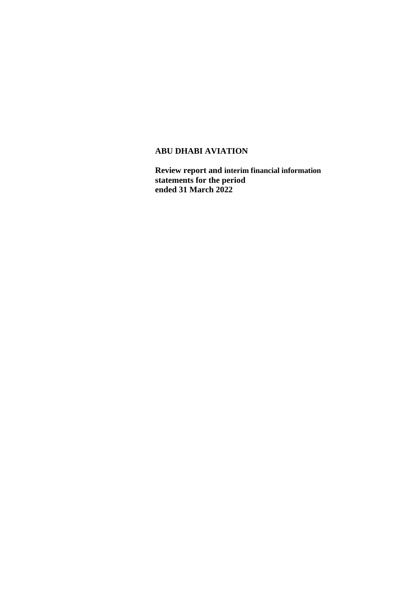**Review report and interim financial information statements for the period ended 31 March 2022**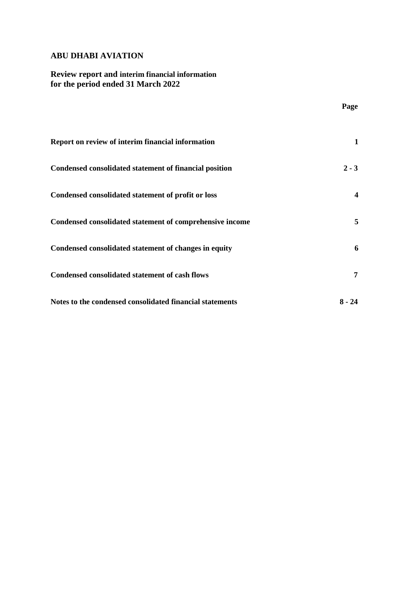# **Review report and interim financial information for the period ended 31 March 2022**

|                                                          | Page           |
|----------------------------------------------------------|----------------|
| Report on review of interim financial information        | 1              |
| Condensed consolidated statement of financial position   | $2 - 3$        |
| Condensed consolidated statement of profit or loss       | 4              |
| Condensed consolidated statement of comprehensive income | $\overline{5}$ |
| Condensed consolidated statement of changes in equity    | 6              |
| <b>Condensed consolidated statement of cash flows</b>    | 7              |
| Notes to the condensed consolidated financial statements | $8 - 24$       |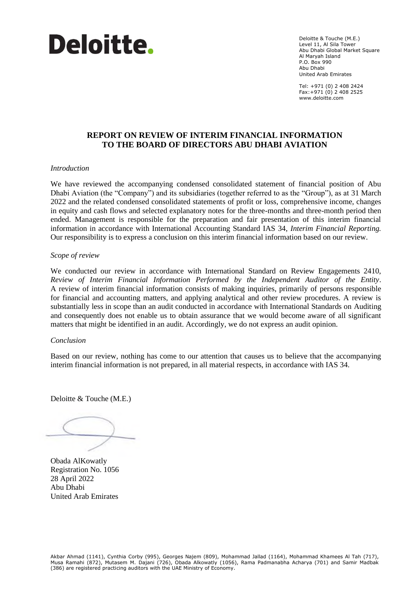

Deloitte & Touche (M.E.) Level 11, Al Sila Tower Abu Dhabi Global Market Square Al Maryah Island P.O. Box 990 Abu Dhabi United Arab Emirates

Tel: +971 (0) 2 408 2424 Fax:+971 (0) 2 408 2525 www.deloitte.com

## **REPORT ON REVIEW OF INTERIM FINANCIAL INFORMATION TO THE BOARD OF DIRECTORS ABU DHABI AVIATION**

#### *Introduction*

We have reviewed the accompanying condensed consolidated statement of financial position of Abu Dhabi Aviation (the "Company") and its subsidiaries (together referred to as the "Group"), as at 31 March 2022 and the related condensed consolidated statements of profit or loss, comprehensive income, changes in equity and cash flows and selected explanatory notes for the three-months and three-month period then ended. Management is responsible for the preparation and fair presentation of this interim financial information in accordance with International Accounting Standard IAS 34, *Interim Financial Reporting.*  Our responsibility is to express a conclusion on this interim financial information based on our review.

#### *Scope of review*

We conducted our review in accordance with International Standard on Review Engagements 2410, *Review of Interim Financial Information Performed by the Independent Auditor of the Entity*. A review of interim financial information consists of making inquiries, primarily of persons responsible for financial and accounting matters, and applying analytical and other review procedures. A review is substantially less in scope than an audit conducted in accordance with International Standards on Auditing and consequently does not enable us to obtain assurance that we would become aware of all significant matters that might be identified in an audit. Accordingly, we do not express an audit opinion.

#### *Conclusion*

Based on our review, nothing has come to our attention that causes us to believe that the accompanying interim financial information is not prepared, in all material respects, in accordance with IAS 34.

Deloitte & Touche (M.E.)

Obada AlKowatly Registration No. 1056 28 April 2022 Abu Dhabi United Arab Emirates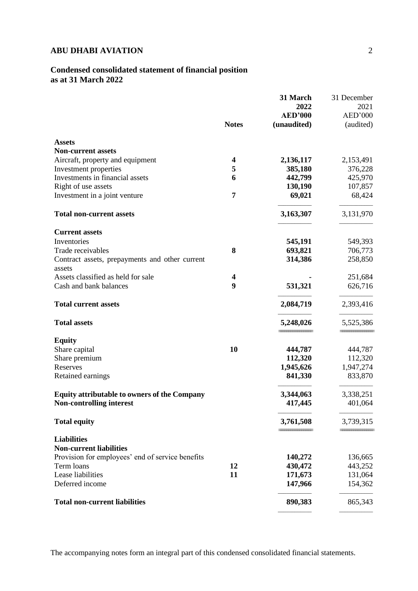# **Condensed consolidated statement of financial position as at 31 March 2022**

|                                                          | <b>Notes</b>            | 31 March<br>2022<br><b>AED'000</b><br>(unaudited) | 31 December<br>2021<br>AED'000<br>(audited) |
|----------------------------------------------------------|-------------------------|---------------------------------------------------|---------------------------------------------|
| <b>Assets</b>                                            |                         |                                                   |                                             |
| <b>Non-current assets</b>                                |                         |                                                   |                                             |
| Aircraft, property and equipment                         | 4                       | 2,136,117                                         | 2,153,491                                   |
| Investment properties                                    | 5                       | 385,180                                           | 376,228                                     |
| Investments in financial assets                          | 6                       | 442,799                                           | 425,970                                     |
| Right of use assets                                      |                         | 130,190                                           | 107,857                                     |
| Investment in a joint venture                            | 7                       | 69,021                                            | 68,424                                      |
| <b>Total non-current assets</b>                          |                         | 3,163,307                                         | 3,131,970                                   |
| <b>Current assets</b>                                    |                         |                                                   |                                             |
| Inventories                                              |                         | 545,191                                           | 549,393                                     |
| Trade receivables                                        | 8                       | 693,821                                           | 706,773                                     |
| Contract assets, prepayments and other current<br>assets |                         | 314,386                                           | 258,850                                     |
| Assets classified as held for sale                       | $\overline{\mathbf{4}}$ |                                                   | 251,684                                     |
| Cash and bank balances                                   | 9                       | 531,321                                           | 626,716                                     |
| <b>Total current assets</b>                              |                         | 2,084,719                                         | 2,393,416                                   |
| <b>Total assets</b>                                      |                         | 5,248,026                                         | 5,525,386                                   |
| <b>Equity</b>                                            |                         |                                                   |                                             |
| Share capital                                            | 10                      | 444,787                                           | 444,787                                     |
| Share premium                                            |                         | 112,320                                           | 112,320                                     |
| Reserves                                                 |                         | 1,945,626                                         | 1,947,274                                   |
| Retained earnings                                        |                         | 841,330                                           | 833,870                                     |
| <b>Equity attributable to owners of the Company</b>      |                         | 3,344,063                                         | 3,338,251                                   |
| <b>Non-controlling interest</b>                          |                         | 417,445                                           | 401,064                                     |
| <b>Total equity</b>                                      |                         | 3,761,508                                         | 3,739,315                                   |
| <b>Liabilities</b>                                       |                         |                                                   |                                             |
| <b>Non-current liabilities</b>                           |                         |                                                   |                                             |
| Provision for employees' end of service benefits         |                         | 140,272                                           | 136,665                                     |
| Term loans                                               | 12                      | 430,472                                           | 443,252                                     |
| Lease liabilities                                        | 11                      | 171,673                                           | 131,064                                     |
| Deferred income                                          |                         | 147,966                                           | 154,362                                     |
| <b>Total non-current liabilities</b>                     |                         | 890,383                                           | 865,343                                     |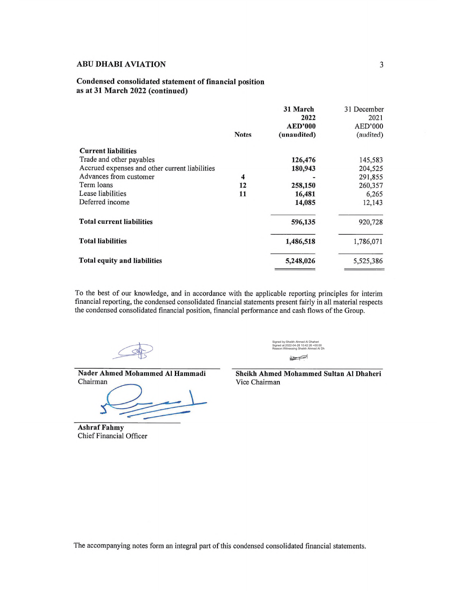#### Condensed consolidated statement of financial position as at 31 March 2022 (continued)

|                                                | <b>Notes</b> | 31 March<br>2022<br><b>AED'000</b><br>(unaudited) | 31 December<br>2021<br>AED'000<br>(audited) |
|------------------------------------------------|--------------|---------------------------------------------------|---------------------------------------------|
| <b>Current liabilities</b>                     |              |                                                   |                                             |
| Trade and other payables                       |              | 126,476                                           | 145,583                                     |
| Accrued expenses and other current liabilities |              | 180,943                                           | 204,525                                     |
| Advances from customer                         | 4            |                                                   | 291,855                                     |
| Term loans                                     | 12           | 258,150                                           | 260,357                                     |
| Lease liabilities                              | 11           | 16,481                                            | 6,265                                       |
| Deferred income                                |              | 14,085                                            | 12,143                                      |
| <b>Total current liabilities</b>               |              | 596,135                                           | 920,728                                     |
| <b>Total liabilities</b>                       |              | 1,486,518                                         | 1,786,071                                   |
| Total equity and liabilities                   |              | 5,248,026                                         | 5,525,386                                   |

To the best of our knowledge, and in accordance with the applicable reporting principles for interim financial reporting, the condensed consolidated financial statements present fairly in all material respects the condensed consolidated financial position, financial performance and cash flows of the Group.

Nader Ahmed Mohammed Al Hammadi Chairman

**Ashraf Fahmy Chief Financial Officer**  Signed by:Sheikh Ahmed Al Dhaheri Signed at:2022-04-28 10:42:26 +00:00Reason:Witnessing Sheikh Ahmed Al Dh

 $\blacktriangleright$ 

Sheikh Ahmed Mohammed Sultan Al Dhaheri Vice Chairman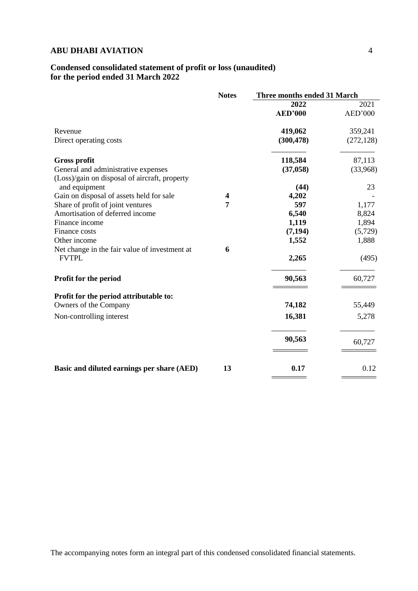## **Condensed consolidated statement of profit or loss (unaudited) for the period ended 31 March 2022**

|                                                               | <b>Notes</b> | Three months ended 31 March |            |
|---------------------------------------------------------------|--------------|-----------------------------|------------|
|                                                               |              | 2022                        | 2021       |
|                                                               |              | <b>AED'000</b>              | AED'000    |
| Revenue                                                       |              | 419,062                     | 359,241    |
| Direct operating costs                                        |              | (300, 478)                  | (272, 128) |
| <b>Gross profit</b>                                           |              | 118,584                     | 87,113     |
| General and administrative expenses                           |              | (37, 058)                   | (33,968)   |
| (Loss)/gain on disposal of aircraft, property                 |              |                             |            |
| and equipment                                                 |              | (44)                        | 23         |
| Gain on disposal of assets held for sale                      | 4            | 4,202                       |            |
| Share of profit of joint ventures                             | 7            | 597                         | 1,177      |
| Amortisation of deferred income                               |              | 6,540                       | 8,824      |
| Finance income                                                |              | 1,119                       | 1,894      |
| Finance costs                                                 |              | (7, 194)                    | (5,729)    |
| Other income                                                  |              | 1,552                       | 1,888      |
| Net change in the fair value of investment at<br><b>FVTPL</b> | 6            | 2,265                       | (495)      |
| Profit for the period                                         |              | 90,563                      | 60,727     |
| Profit for the period attributable to:                        |              |                             |            |
| Owners of the Company                                         |              | 74,182                      | 55,449     |
| Non-controlling interest                                      |              | 16,381                      | 5,278      |
|                                                               |              | 90,563                      | 60,727     |
| Basic and diluted earnings per share (AED)                    | 13           | 0.17                        | 0.12       |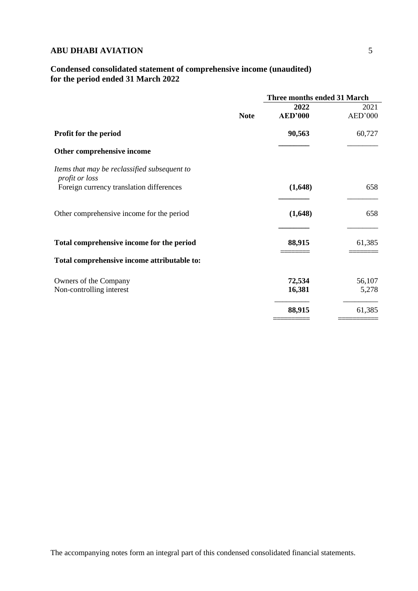# **Condensed consolidated statement of comprehensive income (unaudited) for the period ended 31 March 2022**

|                                                                |             | Three months ended 31 March |         |
|----------------------------------------------------------------|-------------|-----------------------------|---------|
|                                                                |             | 2022                        | 2021    |
|                                                                | <b>Note</b> | <b>AED'000</b>              | AED'000 |
| <b>Profit for the period</b>                                   |             | 90,563                      | 60,727  |
| Other comprehensive income                                     |             |                             |         |
| Items that may be reclassified subsequent to<br>profit or loss |             |                             |         |
| Foreign currency translation differences                       |             | (1,648)                     | 658     |
| Other comprehensive income for the period                      |             | (1,648)                     | 658     |
| Total comprehensive income for the period                      |             | 88,915                      | 61,385  |
| Total comprehensive income attributable to:                    |             |                             |         |
| Owners of the Company                                          |             | 72,534                      | 56,107  |
| Non-controlling interest                                       |             | 16,381                      | 5,278   |
|                                                                |             | 88,915                      | 61,385  |
|                                                                |             |                             |         |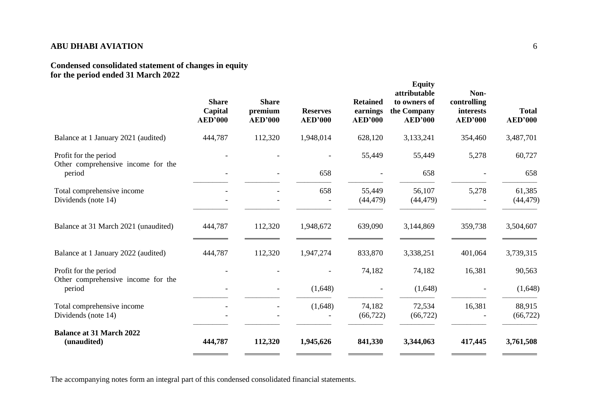## **Condensed consolidated statement of changes in equity for the period ended 31 March 2022**

|                                                             | <b>Share</b><br>Capital<br><b>AED'000</b> | <b>Share</b><br>premium<br><b>AED'000</b> | <b>Reserves</b><br><b>AED'000</b> | <b>Retained</b><br>earnings<br><b>AED'000</b> | <b>Equity</b><br>attributable<br>to owners of<br>the Company<br><b>AED'000</b> | Non-<br>controlling<br>interests<br><b>AED'000</b> | <b>Total</b><br><b>AED'000</b> |
|-------------------------------------------------------------|-------------------------------------------|-------------------------------------------|-----------------------------------|-----------------------------------------------|--------------------------------------------------------------------------------|----------------------------------------------------|--------------------------------|
| Balance at 1 January 2021 (audited)                         | 444,787                                   | 112,320                                   | 1,948,014                         | 628,120                                       | 3,133,241                                                                      | 354,460                                            | 3,487,701                      |
| Profit for the period<br>Other comprehensive income for the |                                           |                                           |                                   | 55,449                                        | 55,449                                                                         | 5,278                                              | 60,727                         |
| period                                                      |                                           |                                           | 658                               |                                               | 658                                                                            |                                                    | 658                            |
| Total comprehensive income<br>Dividends (note 14)           |                                           |                                           | 658                               | 55,449<br>(44, 479)                           | 56,107<br>(44, 479)                                                            | 5,278                                              | 61,385<br>(44, 479)            |
| Balance at 31 March 2021 (unaudited)                        | 444,787                                   | 112,320                                   | 1,948,672                         | 639,090                                       | 3,144,869                                                                      | 359,738                                            | 3,504,607                      |
| Balance at 1 January 2022 (audited)                         | 444,787                                   | 112,320                                   | 1,947,274                         | 833,870                                       | 3,338,251                                                                      | 401,064                                            | 3,739,315                      |
| Profit for the period<br>Other comprehensive income for the |                                           |                                           |                                   | 74,182                                        | 74,182                                                                         | 16,381                                             | 90,563                         |
| period                                                      |                                           |                                           | (1,648)                           |                                               | (1,648)                                                                        |                                                    | (1,648)                        |
| Total comprehensive income<br>Dividends (note 14)           |                                           |                                           | (1,648)                           | 74,182<br>(66, 722)                           | 72,534<br>(66, 722)                                                            | 16,381                                             | 88,915<br>(66, 722)            |
| <b>Balance at 31 March 2022</b><br>(unaudited)              | 444,787                                   | 112,320                                   | 1,945,626                         | 841,330                                       | 3,344,063                                                                      | 417,445                                            | 3,761,508                      |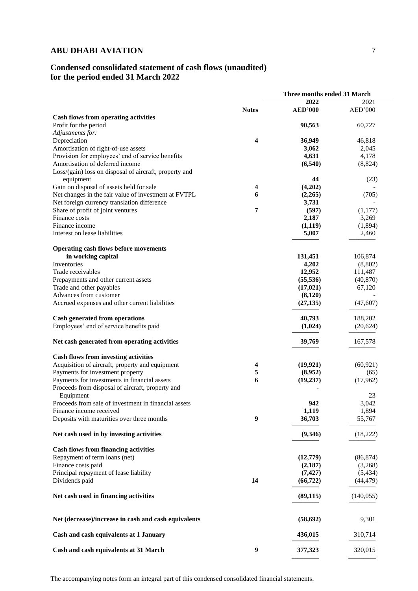# **Condensed consolidated statement of cash flows (unaudited) for the period ended 31 March 2022**

|                                                        |                  | Three months ended 31 March |            |
|--------------------------------------------------------|------------------|-----------------------------|------------|
|                                                        |                  | 2022                        | 2021       |
|                                                        | <b>Notes</b>     | <b>AED'000</b>              | AED'000    |
| <b>Cash flows from operating activities</b>            |                  |                             |            |
| Profit for the period                                  |                  | 90,563                      | 60,727     |
| Adjustments for:                                       |                  |                             |            |
| Depreciation                                           | 4                | 36,949                      | 46,818     |
| Amortisation of right-of-use assets                    |                  | 3,062                       | 2,045      |
| Provision for employees' end of service benefits       |                  | 4,631                       | 4,178      |
| Amortisation of deferred income                        |                  | (6,540)                     | (8, 824)   |
| Loss/(gain) loss on disposal of aircraft, property and |                  |                             |            |
| equipment                                              |                  | 44                          | (23)       |
| Gain on disposal of assets held for sale               | 4                | (4,202)                     |            |
| Net changes in the fair value of investment at FVTPL   | 6                | (2,265)                     | (705)      |
| Net foreign currency translation difference            |                  | 3,731                       |            |
| Share of profit of joint ventures                      | 7                | (597)                       |            |
| Finance costs                                          |                  |                             | (1,177)    |
| Finance income                                         |                  | 2,187                       | 3,269      |
|                                                        |                  | (1,119)                     | (1,894)    |
| Interest on lease liabilities                          |                  | 5,007                       | 2,460      |
|                                                        |                  |                             |            |
| <b>Operating cash flows before movements</b>           |                  |                             |            |
| in working capital                                     |                  | 131,451                     | 106,874    |
| Inventories                                            |                  | 4,202                       | (8,802)    |
| Trade receivables                                      |                  | 12,952                      | 111,487    |
| Prepayments and other current assets                   |                  | (55, 536)                   | (40, 870)  |
| Trade and other payables                               |                  | (17, 021)                   | 67,120     |
| Advances from customer                                 |                  | (8,120)                     |            |
| Accrued expenses and other current liabilities         |                  | (27, 135)                   | (47, 607)  |
| <b>Cash generated from operations</b>                  |                  | 40,793                      | 188,202    |
| Employees' end of service benefits paid                |                  | (1,024)                     | (20, 624)  |
|                                                        |                  |                             |            |
| Net cash generated from operating activities           |                  | 39,769                      | 167,578    |
| <b>Cash flows from investing activities</b>            |                  |                             |            |
| Acquisition of aircraft, property and equipment        | 4                | (19, 921)                   | (60, 921)  |
| Payments for investment property                       | 5                | (8,952)                     | (65)       |
| Payments for investments in financial assets           | 6                | (19, 237)                   | (17,962)   |
| Proceeds from disposal of aircraft, property and       |                  |                             |            |
| Equipment                                              |                  |                             | 23         |
| Proceeds from sale of investment in financial assets   |                  | 942                         | 3,042      |
| Finance income received                                |                  | 1,119                       | 1,894      |
| Deposits with maturities over three months             | $\boldsymbol{9}$ | 36,703                      | 55,767     |
|                                                        |                  |                             |            |
| Net cash used in by investing activities               |                  | (9,346)                     | (18,222)   |
| <b>Cash flows from financing activities</b>            |                  |                             |            |
| Repayment of term loans (net)                          |                  | (12,779)                    | (86, 874)  |
| Finance costs paid                                     |                  | (2,187)                     | (3,268)    |
| Principal repayment of lease liability                 |                  | (7, 427)                    | (5, 434)   |
| Dividends paid                                         | 14               | (66, 722)                   | (44, 479)  |
|                                                        |                  |                             |            |
| Net cash used in financing activities                  |                  | (89, 115)                   | (140, 055) |
| Net (decrease)/increase in cash and cash equivalents   |                  | (58, 692)                   | 9,301      |
| Cash and cash equivalents at 1 January                 |                  | 436,015                     | 310,714    |
| Cash and cash equivalents at 31 March                  | $\boldsymbol{9}$ | 377,323                     | 320,015    |
|                                                        |                  |                             |            |

========= =========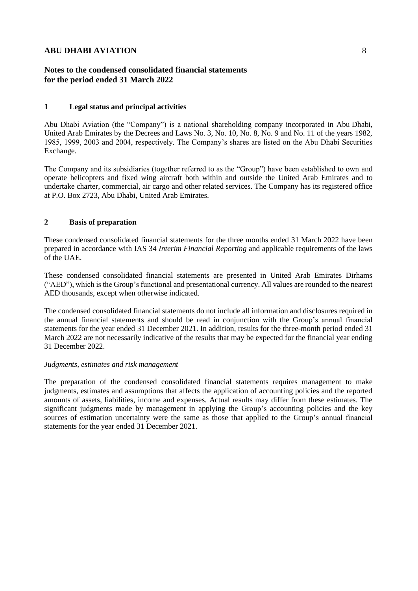## **Notes to the condensed consolidated financial statements for the period ended 31 March 2022**

### **1 Legal status and principal activities**

Abu Dhabi Aviation (the "Company") is a national shareholding company incorporated in Abu Dhabi, United Arab Emirates by the Decrees and Laws No. 3, No. 10, No. 8, No. 9 and No. 11 of the years 1982, 1985, 1999, 2003 and 2004, respectively. The Company's shares are listed on the Abu Dhabi Securities Exchange.

The Company and its subsidiaries (together referred to as the "Group") have been established to own and operate helicopters and fixed wing aircraft both within and outside the United Arab Emirates and to undertake charter, commercial, air cargo and other related services. The Company has its registered office at P.O. Box 2723, Abu Dhabi, United Arab Emirates.

#### **2 Basis of preparation**

These condensed consolidated financial statements for the three months ended 31 March 2022 have been prepared in accordance with IAS 34 *Interim Financial Reporting* and applicable requirements of the laws of the UAE.

These condensed consolidated financial statements are presented in United Arab Emirates Dirhams ("AED"), which is the Group's functional and presentational currency. All values are rounded to the nearest AED thousands, except when otherwise indicated.

The condensed consolidated financial statements do not include all information and disclosures required in the annual financial statements and should be read in conjunction with the Group's annual financial statements for the year ended 31 December 2021. In addition, results for the three-month period ended 31 March 2022 are not necessarily indicative of the results that may be expected for the financial year ending 31 December 2022.

#### *Judgments, estimates and risk management*

The preparation of the condensed consolidated financial statements requires management to make judgments, estimates and assumptions that affects the application of accounting policies and the reported amounts of assets, liabilities, income and expenses. Actual results may differ from these estimates. The significant judgments made by management in applying the Group's accounting policies and the key sources of estimation uncertainty were the same as those that applied to the Group's annual financial statements for the year ended 31 December 2021.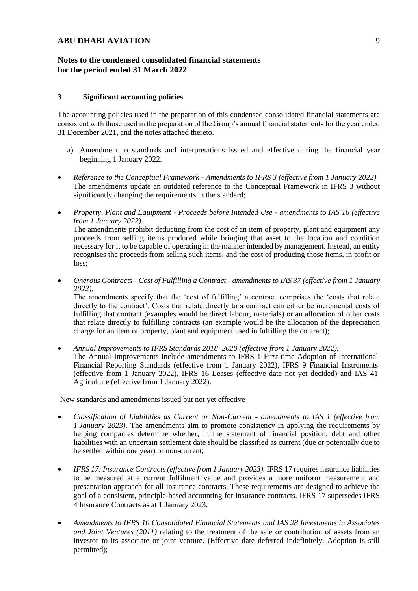### **Notes to the condensed consolidated financial statements for the period ended 31 March 2022**

#### **3 Significant accounting policies**

The accounting policies used in the preparation of this condensed consolidated financial statements are consistent with those used in the preparation of the Group's annual financial statements for the year ended 31 December 2021, and the notes attached thereto.

- a) Amendment to standards and interpretations issued and effective during the financial year beginning 1 January 2022.
- *Reference to the Conceptual Framework - Amendments to IFRS 3 (effective from 1 January 2022)* The amendments update an outdated reference to the Conceptual Framework in IFRS 3 without significantly changing the requirements in the standard;
- *Property, Plant and Equipment - Proceeds before Intended Use - amendments to IAS 16 (effective from 1 January 2022).* The amendments prohibit deducting from the cost of an item of property, plant and equipment any proceeds from selling items produced while bringing that asset to the location and condition necessary for it to be capable of operating in the manner intended by management. Instead, an entity recognises the proceeds from selling such items, and the cost of producing those items, in profit or loss;
- *Onerous Contracts - Cost of Fulfilling a Contract - amendments to IAS 37 (effective from 1 January 2022).*

The amendments specify that the 'cost of fulfilling' a contract comprises the 'costs that relate directly to the contract'. Costs that relate directly to a contract can either be incremental costs of fulfilling that contract (examples would be direct labour, materials) or an allocation of other costs that relate directly to fulfilling contracts (an example would be the allocation of the depreciation charge for an item of property, plant and equipment used in fulfilling the contract);

• *Annual Improvements to IFRS Standards 2018–2020 (effective from 1 January 2022).*  The Annual Improvements include amendments to IFRS 1 First-time Adoption of International Financial Reporting Standards (effective from 1 January 2022), IFRS 9 Financial Instruments (effective from 1 January 2022), IFRS 16 Leases (effective date not yet decided) and IAS 41 Agriculture (effective from 1 January 2022).

New standards and amendments issued but not yet effective

- *Classification of Liabilities as Current or Non-Current - amendments to IAS 1 (effective from 1 January 2023).* The amendments aim to promote consistency in applying the requirements by helping companies determine whether, in the statement of financial position, debt and other liabilities with an uncertain settlement date should be classified as current (due or potentially due to be settled within one year) or non-current;
- *IFRS 17: Insurance Contracts (effective from 1 January 2023).* IFRS 17 requires insurance liabilities to be measured at a current fulfilment value and provides a more uniform measurement and presentation approach for all insurance contracts. These requirements are designed to achieve the goal of a consistent, principle-based accounting for insurance contracts. IFRS 17 supersedes IFRS 4 Insurance Contracts as at 1 January 2023;
- *Amendments to IFRS 10 Consolidated Financial Statements and IAS 28 Investments in Associates and Joint Ventures (2011)* relating to the treatment of the sale or contribution of assets from an investor to its associate or joint venture. (Effective date deferred indefinitely. Adoption is still permitted);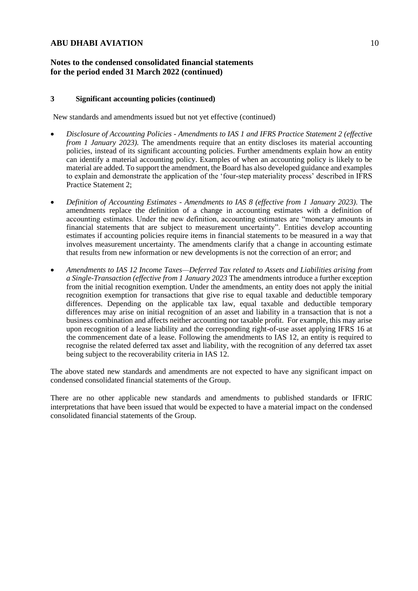## **Notes to the condensed consolidated financial statements for the period ended 31 March 2022 (continued)**

#### **3 Significant accounting policies (continued)**

New standards and amendments issued but not yet effective (continued)

- *Disclosure of Accounting Policies - Amendments to IAS 1 and IFRS Practice Statement 2 (effective from 1 January 2023*). The amendments require that an entity discloses its material accounting policies, instead of its significant accounting policies. Further amendments explain how an entity can identify a material accounting policy. Examples of when an accounting policy is likely to be material are added. To support the amendment, the Board has also developed guidance and examples to explain and demonstrate the application of the 'four-step materiality process' described in IFRS Practice Statement 2;
- *Definition of Accounting Estimates - Amendments to IAS 8 (effective from 1 January 2023).* The amendments replace the definition of a change in accounting estimates with a definition of accounting estimates. Under the new definition, accounting estimates are "monetary amounts in financial statements that are subject to measurement uncertainty". Entities develop accounting estimates if accounting policies require items in financial statements to be measured in a way that involves measurement uncertainty. The amendments clarify that a change in accounting estimate that results from new information or new developments is not the correction of an error; and
- *Amendments to IAS 12 Income Taxes—Deferred Tax related to Assets and Liabilities arising from a Single-Transaction (effective from 1 January 2023* The amendments introduce a further exception from the initial recognition exemption. Under the amendments, an entity does not apply the initial recognition exemption for transactions that give rise to equal taxable and deductible temporary differences. Depending on the applicable tax law, equal taxable and deductible temporary differences may arise on initial recognition of an asset and liability in a transaction that is not a business combination and affects neither accounting nor taxable profit. For example, this may arise upon recognition of a lease liability and the corresponding right-of-use asset applying IFRS 16 at the commencement date of a lease. Following the amendments to IAS 12, an entity is required to recognise the related deferred tax asset and liability, with the recognition of any deferred tax asset being subject to the recoverability criteria in IAS 12.

The above stated new standards and amendments are not expected to have any significant impact on condensed consolidated financial statements of the Group.

There are no other applicable new standards and amendments to published standards or IFRIC interpretations that have been issued that would be expected to have a material impact on the condensed consolidated financial statements of the Group.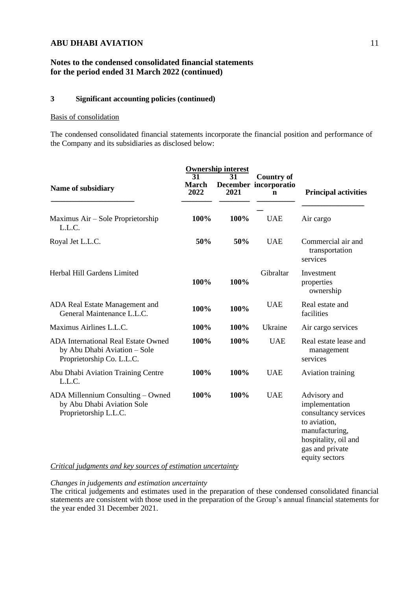## **Notes to the condensed consolidated financial statements for the period ended 31 March 2022 (continued)**

## **3 Significant accounting policies (continued)**

#### Basis of consolidation

The condensed consolidated financial statements incorporate the financial position and performance of the Company and its subsidiaries as disclosed below:

|                                                                                                         | <b>Ownership interest</b><br>31<br>31 |      |                                                 |                                                                                                                                                       |  |
|---------------------------------------------------------------------------------------------------------|---------------------------------------|------|-------------------------------------------------|-------------------------------------------------------------------------------------------------------------------------------------------------------|--|
| Name of subsidiary                                                                                      | <b>March</b><br>2022                  | 2021 | <b>Country of</b><br>December incorporatio<br>n | <b>Principal activities</b>                                                                                                                           |  |
| Maximus Air – Sole Proprietorship<br>L.L.C.                                                             | 100%                                  | 100% | <b>UAE</b>                                      | Air cargo                                                                                                                                             |  |
| Royal Jet L.L.C.                                                                                        | 50%                                   | 50%  | <b>UAE</b>                                      | Commercial air and<br>transportation<br>services                                                                                                      |  |
| Herbal Hill Gardens Limited                                                                             | 100%                                  | 100% | Gibraltar                                       | Investment<br>properties<br>ownership                                                                                                                 |  |
| ADA Real Estate Management and<br>General Maintenance L.L.C.                                            | 100%                                  | 100% | <b>UAE</b>                                      | Real estate and<br>facilities                                                                                                                         |  |
| Maximus Airlines L.L.C.                                                                                 | 100%                                  | 100% | Ukraine                                         | Air cargo services                                                                                                                                    |  |
| <b>ADA International Real Estate Owned</b><br>by Abu Dhabi Aviation - Sole<br>Proprietorship Co. L.L.C. | 100%                                  | 100% | <b>UAE</b>                                      | Real estate lease and<br>management<br>services                                                                                                       |  |
| Abu Dhabi Aviation Training Centre<br>L.L.C.                                                            | 100%                                  | 100% | <b>UAE</b>                                      | Aviation training                                                                                                                                     |  |
| ADA Millennium Consulting - Owned<br>by Abu Dhabi Aviation Sole<br>Proprietorship L.L.C.                | 100%                                  | 100% | <b>UAE</b>                                      | Advisory and<br>implementation<br>consultancy services<br>to aviation,<br>manufacturing,<br>hospitality, oil and<br>gas and private<br>equity sectors |  |

### *Critical judgments and key sources of estimation uncertainty*

## *Changes in judgements and estimation uncertainty*

The critical judgements and estimates used in the preparation of these condensed consolidated financial statements are consistent with those used in the preparation of the Group's annual financial statements for the year ended 31 December 2021.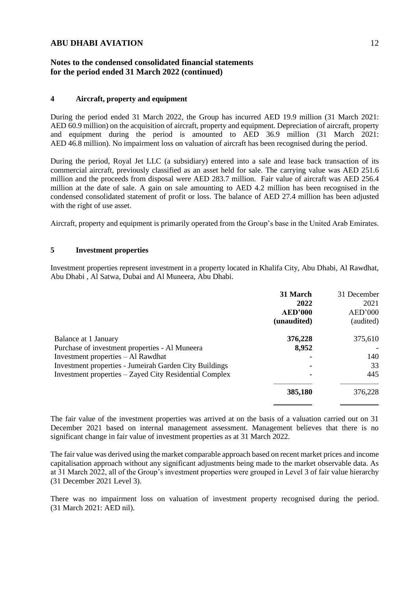## **Notes to the condensed consolidated financial statements for the period ended 31 March 2022 (continued)**

#### **4 Aircraft, property and equipment**

During the period ended 31 March 2022, the Group has incurred AED 19.9 million (31 March 2021: AED 60.9 million) on the acquisition of aircraft, property and equipment. Depreciation of aircraft, property and equipment during the period is amounted to AED 36.9 million (31 March 2021: AED 46.8 million). No impairment loss on valuation of aircraft has been recognised during the period.

During the period, Royal Jet LLC (a subsidiary) entered into a sale and lease back transaction of its commercial aircraft, previously classified as an asset held for sale. The carrying value was AED 251.6 million and the proceeds from disposal were AED 283.7 million. Fair value of aircraft was AED 256.4 million at the date of sale. A gain on sale amounting to AED 4.2 million has been recognised in the condensed consolidated statement of profit or loss. The balance of AED 27.4 million has been adjusted with the right of use asset.

Aircraft, property and equipment is primarily operated from the Group's base in the United Arab Emirates.

### **5 Investment properties**

Investment properties represent investment in a property located in Khalifa City, Abu Dhabi, Al Rawdhat, Abu Dhabi , Al Satwa, Dubai and Al Muneera, Abu Dhabi.

|                                                               | 31 March<br>2022<br><b>AED'000</b><br>(unaudited) | 31 December<br>2021<br>AED'000<br>(audited) |
|---------------------------------------------------------------|---------------------------------------------------|---------------------------------------------|
|                                                               |                                                   |                                             |
| Balance at 1 January                                          | 376,228                                           | 375,610                                     |
| Purchase of investment properties - Al Muneera                | 8,952                                             |                                             |
| Investment properties – Al Rawdhat                            |                                                   | 140                                         |
| <b>Investment properties - Jumeirah Garden City Buildings</b> |                                                   | 33                                          |
| Investment properties – Zayed City Residential Complex        | ۰                                                 | 445                                         |
|                                                               | 385,180                                           | 376,228                                     |
|                                                               |                                                   |                                             |

The fair value of the investment properties was arrived at on the basis of a valuation carried out on 31 December 2021 based on internal management assessment. Management believes that there is no significant change in fair value of investment properties as at 31 March 2022.

The fair value was derived using the market comparable approach based on recent market prices and income capitalisation approach without any significant adjustments being made to the market observable data. As at 31 March 2022, all of the Group's investment properties were grouped in Level 3 of fair value hierarchy (31 December 2021 Level 3).

There was no impairment loss on valuation of investment property recognised during the period. (31 March 2021: AED nil).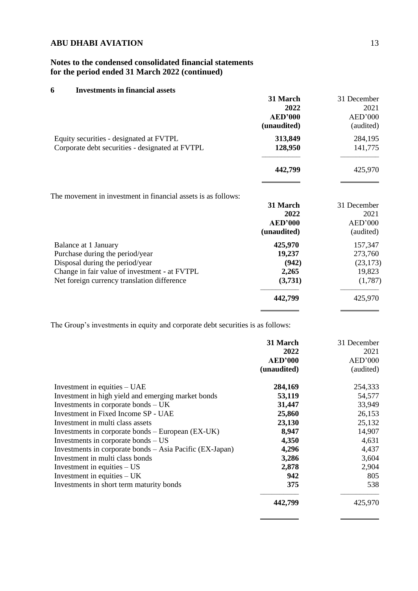## **Notes to the condensed consolidated financial statements for the period ended 31 March 2022 (continued)**

## **6 Investments in financial assets**

|                                                               | 31 March       | 31 December |
|---------------------------------------------------------------|----------------|-------------|
|                                                               | 2022           | 2021        |
|                                                               | <b>AED'000</b> | AED'000     |
|                                                               | (unaudited)    | (audited)   |
| Equity securities - designated at FVTPL                       | 313,849        | 284,195     |
| Corporate debt securities - designated at FVTPL               | 128,950        | 141,775     |
|                                                               | 442,799        | 425,970     |
| The movement in investment in financial assets is as follows: |                |             |
|                                                               | 31 March       | 31 December |
|                                                               | 2022           | 2021        |
|                                                               | <b>AED'000</b> | AED'000     |
|                                                               | (unaudited)    | (audited)   |
| Balance at 1 January                                          | 425,970        | 157,347     |
| Purchase during the period/year                               | 19,237         | 273,760     |
| Disposal during the period/year                               | (942)          | (23, 173)   |
| Change in fair value of investment - at FVTPL                 | 2,265          | 19,823      |
| Net foreign currency translation difference                   | (3,731)        | (1,787)     |
|                                                               | 442,799        | 425,970     |
|                                                               |                |             |

The Group's investments in equity and corporate debt securities is as follows:

|                                                          | 31 March       | 31 December |
|----------------------------------------------------------|----------------|-------------|
|                                                          | 2022           | 2021        |
|                                                          | <b>AED'000</b> | AED'000     |
|                                                          | (unaudited)    | (audited)   |
| Investment in equities $-$ UAE                           | 284,169        | 254,333     |
| Investment in high yield and emerging market bonds       | 53,119         | 54,577      |
| Investments in corporate bonds $- UK$                    | 31,447         | 33,949      |
| Investment in Fixed Income SP - UAE                      | 25,860         | 26,153      |
| Investment in multi class assets                         | 23,130         | 25,132      |
| Investments in corporate bonds $-$ European (EX-UK)      | 8,947          | 14,907      |
| Investments in corporate bonds $-$ US                    | 4,350          | 4,631       |
| Investments in corporate bonds - Asia Pacific (EX-Japan) | 4,296          | 4,437       |
| Investment in multi class bonds                          | 3,286          | 3,604       |
| Investment in equities $-US$                             | 2,878          | 2,904       |
| Investment in equities $- UK$                            | 942            | 805         |
| Investments in short term maturity bonds                 | 375            | 538         |
|                                                          | 442,799        | 425,970     |

 $\overline{a}$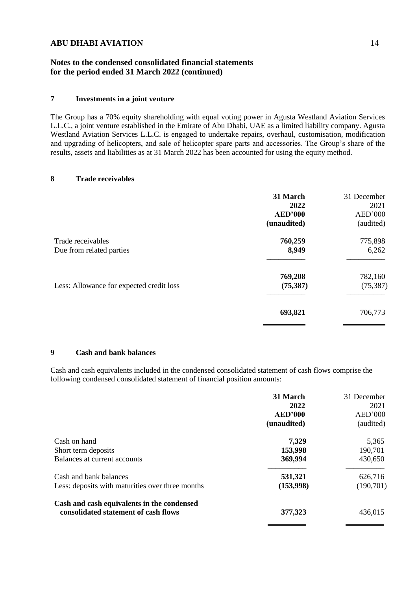## **Notes to the condensed consolidated financial statements for the period ended 31 March 2022 (continued)**

## **7 Investments in a joint venture**

The Group has a 70% equity shareholding with equal voting power in Agusta Westland Aviation Services L.L.C., a joint venture established in the Emirate of Abu Dhabi, UAE as a limited liability company. Agusta Westland Aviation Services L.L.C. is engaged to undertake repairs, overhaul, customisation, modification and upgrading of helicopters, and sale of helicopter spare parts and accessories. The Group's share of the results, assets and liabilities as at 31 March 2022 has been accounted for using the equity method.

#### **8 Trade receivables**

| 31 March       | 31 December        |
|----------------|--------------------|
| 2022           | 2021               |
| <b>AED'000</b> | AED'000            |
| (unaudited)    | (audited)          |
|                | 775,898            |
| 8,949          | 6,262              |
|                | 782,160            |
| (75, 387)      | (75, 387)          |
| 693,821        | 706,773            |
|                | 760,259<br>769,208 |

### **9 Cash and bank balances**

Cash and cash equivalents included in the condensed consolidated statement of cash flows comprise the following condensed consolidated statement of financial position amounts:

|                                                  | 31 March       | 31 December |
|--------------------------------------------------|----------------|-------------|
|                                                  | 2022           | 2021        |
|                                                  | <b>AED'000</b> | AED'000     |
|                                                  | (unaudited)    | (audited)   |
| Cash on hand                                     | 7,329          | 5,365       |
| Short term deposits                              | 153,998        | 190,701     |
| Balances at current accounts                     | 369,994        | 430,650     |
| Cash and bank balances                           | 531,321        | 626,716     |
| Less: deposits with maturities over three months | (153,998)      | (190, 701)  |
| Cash and cash equivalents in the condensed       |                |             |
| consolidated statement of cash flows             | 377,323        | 436,015     |
|                                                  |                |             |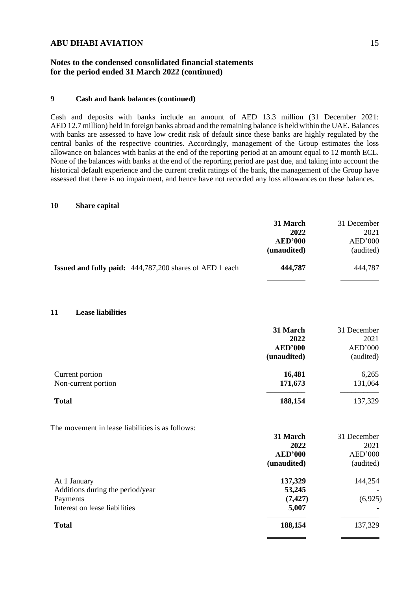## **Notes to the condensed consolidated financial statements for the period ended 31 March 2022 (continued)**

### **9 Cash and bank balances (continued)**

Cash and deposits with banks include an amount of AED 13.3 million (31 December 2021: AED 12.7 million) held in foreign banks abroad and the remaining balance is held within the UAE. Balances with banks are assessed to have low credit risk of default since these banks are highly regulated by the central banks of the respective countries. Accordingly, management of the Group estimates the loss allowance on balances with banks at the end of the reporting period at an amount equal to 12 month ECL. None of the balances with banks at the end of the reporting period are past due, and taking into account the historical default experience and the current credit ratings of the bank, the management of the Group have assessed that there is no impairment, and hence have not recorded any loss allowances on these balances.

### **10 Share capital**

|                                                                                               | 31 March<br>2022<br><b>AED'000</b><br>(unaudited) | 31 December<br>2021<br>AED'000<br>(audited) |
|-----------------------------------------------------------------------------------------------|---------------------------------------------------|---------------------------------------------|
| <b>Issued and fully paid:</b> 444,787,200 shares of AED 1 each                                | 444,787                                           | 444,787                                     |
| 11<br><b>Lease liabilities</b>                                                                |                                                   |                                             |
|                                                                                               | 31 March<br>2022<br><b>AED'000</b><br>(unaudited) | 31 December<br>2021<br>AED'000<br>(audited) |
| Current portion<br>Non-current portion                                                        | 16,481<br>171,673                                 | 6,265<br>131,064                            |
| <b>Total</b>                                                                                  | 188,154                                           | 137,329                                     |
| The movement in lease liabilities is as follows:                                              | 31 March<br>2022<br><b>AED'000</b><br>(unaudited) | 31 December<br>2021<br>AED'000<br>(audited) |
| At 1 January<br>Additions during the period/year<br>Payments<br>Interest on lease liabilities | 137,329<br>53,245<br>(7, 427)<br>5,007            | 144,254<br>(6,925)                          |
| <b>Total</b>                                                                                  | 188,154                                           | 137,329                                     |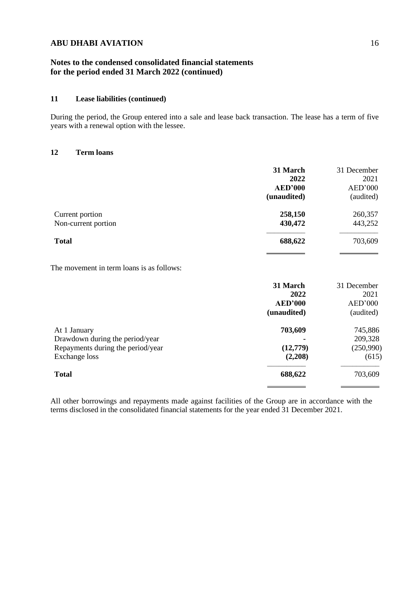## **Notes to the condensed consolidated financial statements for the period ended 31 March 2022 (continued)**

### **11 Lease liabilities (continued)**

During the period, the Group entered into a sale and lease back transaction. The lease has a term of five years with a renewal option with the lessee.

### **12 Term loans**

|                     | 31 March       | 31 December |
|---------------------|----------------|-------------|
|                     | 2022           | 2021        |
|                     | <b>AED'000</b> | AED'000     |
|                     | (unaudited)    | (audited)   |
| Current portion     | 258,150        | 260,357     |
| Non-current portion | 430,472        | 443,252     |
| <b>Total</b>        | 688,622        | 703,609     |
|                     |                |             |

The movement in term loans is as follows:

|                                   | 31 March       | 31 December |
|-----------------------------------|----------------|-------------|
|                                   | 2022           | 2021        |
|                                   | <b>AED'000</b> | AED'000     |
|                                   | (unaudited)    | (audited)   |
| At 1 January                      | 703,609        | 745,886     |
| Drawdown during the period/year   |                | 209,328     |
| Repayments during the period/year | (12,779)       | (250,990)   |
| Exchange loss                     | (2,208)        | (615)       |
| <b>Total</b>                      | 688,622        | 703,609     |
|                                   |                |             |

All other borrowings and repayments made against facilities of the Group are in accordance with the terms disclosed in the consolidated financial statements for the year ended 31 December 2021.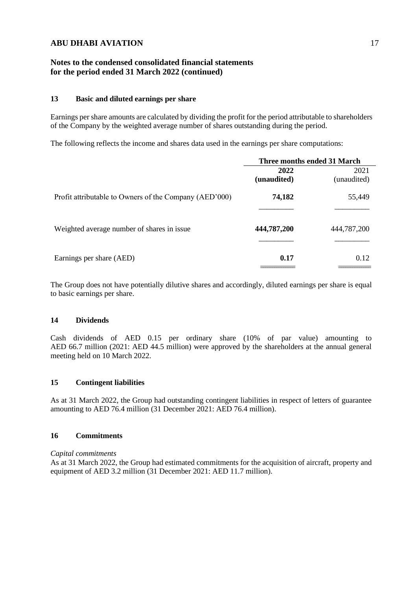## **Notes to the condensed consolidated financial statements for the period ended 31 March 2022 (continued)**

#### **13 Basic and diluted earnings per share**

Earnings per share amounts are calculated by dividing the profit for the period attributable to shareholders of the Company by the weighted average number of shares outstanding during the period.

The following reflects the income and shares data used in the earnings per share computations:

|                                                        | Three months ended 31 March |             |
|--------------------------------------------------------|-----------------------------|-------------|
|                                                        | 2022                        | 2021        |
|                                                        | (unaudited)                 | (unaudited) |
| Profit attributable to Owners of the Company (AED'000) | 74,182                      | 55,449      |
|                                                        |                             |             |
| Weighted average number of shares in issue             | 444,787,200                 | 444,787,200 |
|                                                        |                             |             |
| Earnings per share (AED)                               | 0.17                        | 0.12        |
|                                                        |                             |             |

The Group does not have potentially dilutive shares and accordingly, diluted earnings per share is equal to basic earnings per share.

### **14 Dividends**

Cash dividends of AED 0.15 per ordinary share (10% of par value) amounting to AED 66.7 million (2021: AED 44.5 million) were approved by the shareholders at the annual general meeting held on 10 March 2022.

### **15 Contingent liabilities**

As at 31 March 2022, the Group had outstanding contingent liabilities in respect of letters of guarantee amounting to AED 76.4 million (31 December 2021: AED 76.4 million).

### **16 Commitments**

*Capital commitments*

As at 31 March 2022, the Group had estimated commitments for the acquisition of aircraft, property and equipment of AED 3.2 million (31 December 2021: AED 11.7 million).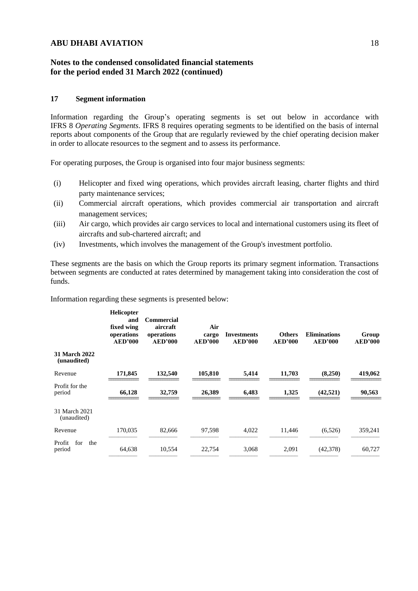### **Notes to the condensed consolidated financial statements for the period ended 31 March 2022 (continued)**

#### **17 Segment information**

Information regarding the Group's operating segments is set out below in accordance with IFRS 8 *Operating Segments*. IFRS 8 requires operating segments to be identified on the basis of internal reports about components of the Group that are regularly reviewed by the chief operating decision maker in order to allocate resources to the segment and to assess its performance.

For operating purposes, the Group is organised into four major business segments:

- (i) Helicopter and fixed wing operations, which provides aircraft leasing, charter flights and third party maintenance services;
- (ii) Commercial aircraft operations, which provides commercial air transportation and aircraft management services;
- (iii) Air cargo, which provides air cargo services to local and international customers using its fleet of aircrafts and sub-chartered aircraft; and
- (iv) Investments, which involves the management of the Group's investment portfolio.

These segments are the basis on which the Group reports its primary segment information. Transactions between segments are conducted at rates determined by management taking into consideration the cost of funds.

Information regarding these segments is presented below:

|                                     | Helicopter<br>and<br>fixed wing<br>operations<br><b>AED'000</b> | Commercial<br>aircraft<br>operations<br><b>AED'000</b> | Air<br>cargo<br><b>AED'000</b> | <b>Investments</b><br><b>AED'000</b> | <b>Others</b><br><b>AED'000</b> | <b>Eliminations</b><br><b>AED'000</b> | Group<br><b>AED'000</b> |
|-------------------------------------|-----------------------------------------------------------------|--------------------------------------------------------|--------------------------------|--------------------------------------|---------------------------------|---------------------------------------|-------------------------|
| <b>31 March 2022</b><br>(unaudited) |                                                                 |                                                        |                                |                                      |                                 |                                       |                         |
| Revenue                             | 171,845                                                         | 132,540                                                | 105,810                        | 5,414                                | 11,703                          | (8,250)                               | 419,062                 |
| Profit for the<br>period            | 66,128                                                          | 32,759                                                 | 26,389                         | 6,483                                | 1,325                           | (42, 521)                             | 90,563                  |
| 31 March 2021<br>(unaudited)        |                                                                 |                                                        |                                |                                      |                                 |                                       |                         |
| Revenue                             | 170,035                                                         | 82,666                                                 | 97,598                         | 4,022                                | 11,446                          | (6,526)                               | 359,241                 |
| for<br>Profit<br>the<br>period      | 64,638                                                          | 10,554                                                 | 22,754                         | 3,068                                | 2,091                           | (42, 378)                             | 60,727                  |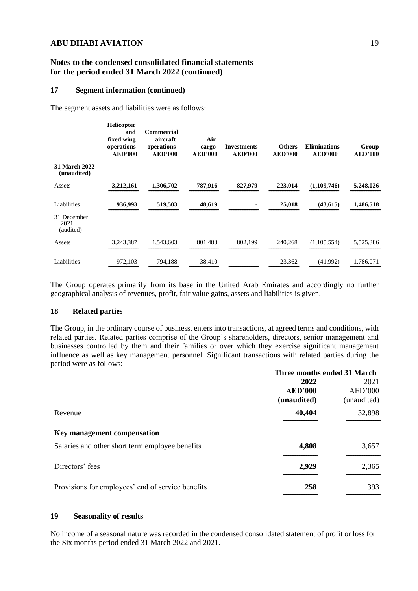### **Notes to the condensed consolidated financial statements for the period ended 31 March 2022 (continued)**

#### **17 Segment information (continued)**

The segment assets and liabilities were as follows:

|                                     | <b>Helicopter</b><br>and<br>fixed wing<br>operations<br><b>AED'000</b> | Commercial<br>aircraft<br>operations<br><b>AED'000</b> | Air<br>cargo<br><b>AED'000</b> | <b>Investments</b><br><b>AED'000</b> | <b>Others</b><br><b>AED'000</b> | <b>Eliminations</b><br><b>AED'000</b> | Group<br><b>AED'000</b> |
|-------------------------------------|------------------------------------------------------------------------|--------------------------------------------------------|--------------------------------|--------------------------------------|---------------------------------|---------------------------------------|-------------------------|
| <b>31 March 2022</b><br>(unaudited) |                                                                        |                                                        |                                |                                      |                                 |                                       |                         |
| Assets                              | 3,212,161                                                              | 1,306,702                                              | 787,916                        | 827,979                              | 223,014                         | (1,109,746)                           | 5,248,026               |
| Liabilities                         | 936,993                                                                | 519,503                                                | 48,619                         | ٠                                    | 25,018                          | (43, 615)                             | 1,486,518               |
| 31 December<br>2021<br>(audited)    |                                                                        |                                                        |                                |                                      |                                 |                                       |                         |
| Assets                              | 3,243,387                                                              | 1,543,603                                              | 801,483                        | 802,199                              | 240,268                         | (1,105,554)                           | 5,525,386               |
| Liabilities                         | 972,103                                                                | 794,188                                                | 38,410                         | $\overline{\phantom{a}}$             | 23,362                          | (41,992)                              | 1,786,071               |

The Group operates primarily from its base in the United Arab Emirates and accordingly no further geographical analysis of revenues, profit, fair value gains, assets and liabilities is given.

### **18 Related parties**

The Group, in the ordinary course of business, enters into transactions, at agreed terms and conditions, with related parties. Related parties comprise of the Group's shareholders, directors, senior management and businesses controlled by them and their families or over which they exercise significant management influence as well as key management personnel. Significant transactions with related parties during the period were as follows:

| Three months ended 31 March |             |
|-----------------------------|-------------|
| 2022                        | 2021        |
| <b>AED'000</b>              | AED'000     |
| (unaudited)                 | (unaudited) |
| 40,404                      | 32,898      |
|                             |             |
|                             |             |
| 4,808                       | 3,657       |
|                             |             |
| 2,929                       | 2,365       |
|                             |             |
|                             | 393         |
|                             | 258         |

### **19 Seasonality of results**

No income of a seasonal nature was recorded in the condensed consolidated statement of profit or loss for the Six months period ended 31 March 2022 and 2021.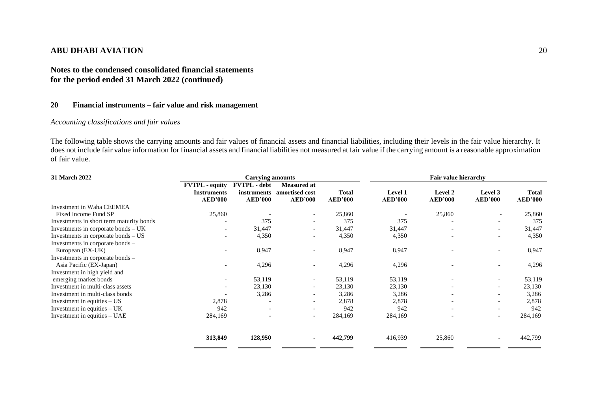## **Notes to the condensed consolidated financial statements for the period ended 31 March 2022 (continued)**

### **20 Financial instruments – fair value and risk management**

## *Accounting classifications and fair values*

The following table shows the carrying amounts and fair values of financial assets and financial liabilities, including their levels in the fair value hierarchy. It does not include fair value information for financial assets and financial liabilities not measured at fair value if the carrying amount is a reasonable approximation of fair value.

| 31 March 2022                            |                                                               | <b>Carrying amounts</b>                              |                                                        | Fair value hierarchy           |                           |                                  |                           |                                |
|------------------------------------------|---------------------------------------------------------------|------------------------------------------------------|--------------------------------------------------------|--------------------------------|---------------------------|----------------------------------|---------------------------|--------------------------------|
|                                          | <b>FVTPL</b> - equity<br><b>Instruments</b><br><b>AED'000</b> | <b>FVTPL</b> - debt<br>instruments<br><b>AED'000</b> | <b>Measured at</b><br>amortised cost<br><b>AED'000</b> | <b>Total</b><br><b>AED'000</b> | Level 1<br><b>AED'000</b> | <b>Level 2</b><br><b>AED'000</b> | Level 3<br><b>AED'000</b> | <b>Total</b><br><b>AED'000</b> |
| Investment in Waha CEEMEA                |                                                               |                                                      |                                                        |                                |                           |                                  |                           |                                |
| Fixed Income Fund SP                     | 25,860                                                        |                                                      | $\overline{a}$                                         | 25,860                         |                           | 25,860                           | $\overline{\phantom{a}}$  | 25,860                         |
| Investments in short term maturity bonds |                                                               | 375                                                  | $\overline{\phantom{0}}$                               | 375                            | 375                       |                                  | $\overline{\phantom{0}}$  | 375                            |
| Investments in corporate bonds $- UK$    | $\overline{\phantom{a}}$                                      | 31,447                                               |                                                        | 31,447                         | 31,447                    |                                  | $\overline{\phantom{a}}$  | 31,447                         |
| Investments in corporate bonds $-US$     | $\overline{\phantom{0}}$                                      | 4,350                                                |                                                        | 4,350                          | 4,350                     |                                  | $\overline{\phantom{0}}$  | 4,350                          |
| Investments in corporate bonds –         |                                                               |                                                      |                                                        |                                |                           |                                  |                           |                                |
| European (EX-UK)                         |                                                               | 8,947                                                |                                                        | 8,947                          | 8,947                     |                                  |                           | 8,947                          |
| Investments in corporate bonds –         |                                                               |                                                      |                                                        |                                |                           |                                  |                           |                                |
| Asia Pacific (EX-Japan)                  |                                                               | 4,296                                                |                                                        | 4,296                          | 4,296                     |                                  |                           | 4,296                          |
| Investment in high yield and             |                                                               |                                                      |                                                        |                                |                           |                                  |                           |                                |
| emerging market bonds                    | $\overline{\phantom{a}}$                                      | 53,119                                               | $\overline{a}$                                         | 53,119                         | 53,119                    |                                  | $\overline{\phantom{a}}$  | 53,119                         |
| Investment in multi-class assets         | $\overline{\phantom{a}}$                                      | 23,130                                               |                                                        | 23,130                         | 23,130                    |                                  | $\overline{\phantom{a}}$  | 23,130                         |
| Investment in multi-class bonds          |                                                               | 3,286                                                |                                                        | 3,286                          | 3,286                     |                                  | $\overline{\phantom{a}}$  | 3,286                          |
| Investment in equities $- US$            | 2,878                                                         |                                                      |                                                        | 2,878                          | 2,878                     |                                  | $\overline{\phantom{0}}$  | 2,878                          |
| Investment in equities $- UK$            | 942                                                           |                                                      |                                                        | 942                            | 942                       |                                  |                           | 942                            |
| Investment in equities – UAE             | 284,169                                                       |                                                      | $\sim$                                                 | 284,169                        | 284,169                   |                                  | $\overline{\phantom{a}}$  | 284,169                        |
|                                          | 313,849                                                       | 128,950                                              |                                                        | 442,799                        | 416,939                   | 25,860                           |                           | 442,799                        |
|                                          |                                                               |                                                      |                                                        |                                |                           |                                  |                           |                                |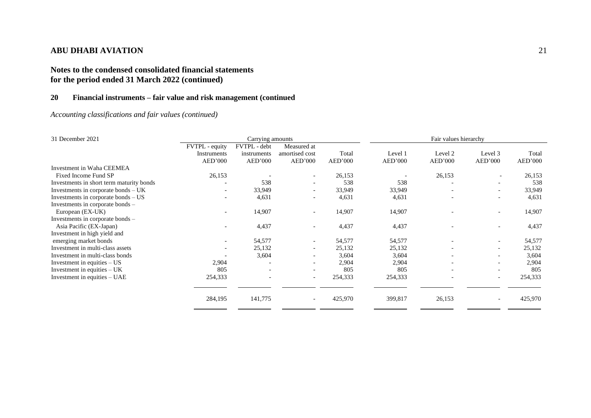# **Notes to the condensed consolidated financial statements for the period ended 31 March 2022 (continued)**

## **20 Financial instruments – fair value and risk management (continued**

*Accounting classifications and fair values (continued)*

| 31 December 2021                         |                          | Carrying amounts         |                          |         | Fair values hierarchy |                          |                          |         |
|------------------------------------------|--------------------------|--------------------------|--------------------------|---------|-----------------------|--------------------------|--------------------------|---------|
|                                          | FVTPL - equity           | FVTPL - debt             | Measured at              |         |                       |                          |                          |         |
|                                          | Instruments              | instruments              | amortised cost           | Total   | Level 1               | Level 2                  | Level 3                  | Total   |
|                                          | AED'000                  | AED'000                  | AED'000                  | AED'000 | AED'000               | AED'000                  | AED'000                  | AED'000 |
| Investment in Waha CEEMEA                |                          |                          |                          |         |                       |                          |                          |         |
| Fixed Income Fund SP                     | 26,153                   |                          |                          | 26,153  |                       | 26,153                   |                          | 26,153  |
| Investments in short term maturity bonds |                          | 538                      | $\overline{\phantom{a}}$ | 538     | 538                   |                          | $\overline{\phantom{0}}$ | 538     |
| Investments in corporate bonds - UK      |                          | 33,949                   |                          | 33,949  | 33,949                |                          |                          | 33,949  |
| Investments in corporate bonds - US      |                          | 4,631                    | $\overline{\phantom{a}}$ | 4,631   | 4,631                 |                          | $\qquad \qquad -$        | 4,631   |
| Investments in corporate bonds –         |                          |                          |                          |         |                       |                          |                          |         |
| European (EX-UK)                         | $\overline{\phantom{a}}$ | 14,907                   | $\overline{\phantom{a}}$ | 14,907  | 14,907                |                          | $\overline{\phantom{a}}$ | 14,907  |
| Investments in corporate bonds –         |                          |                          |                          |         |                       |                          |                          |         |
| Asia Pacific (EX-Japan)                  |                          | 4,437                    | $\overline{\phantom{a}}$ | 4,437   | 4,437                 |                          | $\overline{\phantom{a}}$ | 4,437   |
| Investment in high yield and             |                          |                          |                          |         |                       |                          |                          |         |
| emerging market bonds                    | $\overline{\phantom{a}}$ | 54,577                   | $\overline{\phantom{a}}$ | 54,577  | 54,577                |                          | $\overline{\phantom{a}}$ | 54,577  |
| Investment in multi-class assets         | $\overline{\phantom{0}}$ | 25,132                   | $\overline{\phantom{a}}$ | 25,132  | 25,132                | $\overline{\phantom{a}}$ | $\overline{\phantom{a}}$ | 25,132  |
| Investment in multi-class bonds          |                          | 3,604                    |                          | 3,604   | 3,604                 | $\overline{\phantom{0}}$ | $\overline{\phantom{a}}$ | 3,604   |
| Investment in equities - US              | 2,904                    |                          | $\overline{\phantom{0}}$ | 2,904   | 2,904                 |                          | $\overline{\phantom{a}}$ | 2,904   |
| Investment in equities $- UK$            | 805                      |                          |                          | 805     | 805                   | $\overline{\phantom{a}}$ | -                        | 805     |
| Investment in equities – UAE             | 254,333                  | $\overline{\phantom{a}}$ | $\overline{\phantom{a}}$ | 254,333 | 254,333               | $\overline{\phantom{a}}$ | $\overline{\phantom{a}}$ | 254,333 |
|                                          |                          |                          |                          |         |                       |                          |                          |         |
|                                          | 284,195                  | 141,775                  | $\overline{\phantom{a}}$ | 425,970 | 399,817               | 26,153                   |                          | 425,970 |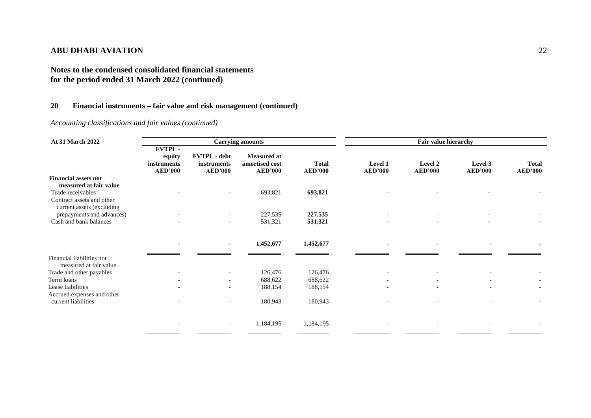# **Notes to the condensed consolidated financial statements for the period ended 31 March 2022 (continued)**

# **20 Financial instruments – fair value and risk management (continued)**

*Accounting classifications and fair values (continued)*

| <b>At 31 March 2022</b>     |                                                          |                                               | <b>Carrying amounts</b>                         |                                | Fair value hierarchy      |                           |                           |                                |
|-----------------------------|----------------------------------------------------------|-----------------------------------------------|-------------------------------------------------|--------------------------------|---------------------------|---------------------------|---------------------------|--------------------------------|
|                             | <b>FVTPL-</b><br>equity<br>instruments<br><b>AED'000</b> | FVTPL - debt<br>instruments<br><b>AED'000</b> | Measured at<br>amortised cost<br><b>AED'000</b> | <b>Total</b><br><b>AED'000</b> | Level 1<br><b>AED'000</b> | Level 2<br><b>AED'000</b> | Level 3<br><b>AED'000</b> | <b>Total</b><br><b>AED'000</b> |
| <b>Financial assets not</b> |                                                          |                                               |                                                 |                                |                           |                           |                           |                                |
| measured at fair value      |                                                          |                                               |                                                 |                                |                           |                           |                           |                                |
| Trade receivables           |                                                          |                                               | 693,821                                         | 693,821                        |                           |                           |                           |                                |
| Contract assets and other   |                                                          |                                               |                                                 |                                |                           |                           |                           |                                |
| current assets (excluding   |                                                          |                                               |                                                 |                                |                           |                           |                           |                                |
| prepayments and advances)   |                                                          |                                               | 227,535                                         | 227,535                        |                           |                           |                           |                                |
| Cash and bank balances      |                                                          | $\overline{\phantom{a}}$                      | 531,321                                         | 531,321                        | $\overline{\phantom{a}}$  |                           |                           |                                |
|                             |                                                          |                                               |                                                 |                                |                           |                           |                           |                                |
|                             |                                                          |                                               | 1,452,677                                       | 1,452,677                      | $\overline{\phantom{a}}$  |                           |                           |                                |
| Financial liabilities not   |                                                          |                                               |                                                 |                                |                           |                           |                           |                                |
| measured at fair value      |                                                          |                                               |                                                 |                                |                           |                           |                           |                                |
| Trade and other payables    |                                                          |                                               | 126,476                                         | 126,476                        |                           |                           |                           |                                |
| Term loans                  |                                                          |                                               | 688,622                                         | 688,622                        |                           |                           |                           |                                |
| Lease liabilities           |                                                          |                                               | 188,154                                         | 188,154                        |                           |                           |                           |                                |
| Accrued expenses and other  |                                                          |                                               |                                                 |                                |                           |                           |                           |                                |
| current liabilities         |                                                          |                                               | 180,943                                         | 180,943                        |                           |                           |                           |                                |
|                             |                                                          |                                               |                                                 |                                |                           |                           |                           |                                |
|                             |                                                          |                                               |                                                 |                                |                           |                           |                           |                                |
|                             |                                                          |                                               | 1,184,195                                       | 1,184,195                      |                           |                           |                           |                                |
|                             |                                                          |                                               |                                                 |                                |                           |                           |                           |                                |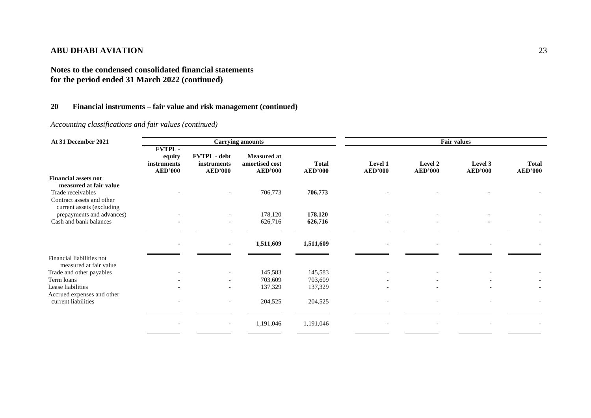# **Notes to the condensed consolidated financial statements for the period ended 31 March 2022 (continued)**

## **20 Financial instruments – fair value and risk management (continued)**

*Accounting classifications and fair values (continued)*

| At 31 December 2021                                    |                                                          |                                                      | <b>Carrying amounts</b>                                |                                |                           | <b>Fair values</b>        |                           |                                |  |
|--------------------------------------------------------|----------------------------------------------------------|------------------------------------------------------|--------------------------------------------------------|--------------------------------|---------------------------|---------------------------|---------------------------|--------------------------------|--|
|                                                        | <b>FVTPL-</b><br>equity<br>instruments<br><b>AED'000</b> | <b>FVTPL</b> - debt<br>instruments<br><b>AED'000</b> | <b>Measured at</b><br>amortised cost<br><b>AED'000</b> | <b>Total</b><br><b>AED'000</b> | Level 1<br><b>AED'000</b> | Level 2<br><b>AED'000</b> | Level 3<br><b>AED'000</b> | <b>Total</b><br><b>AED'000</b> |  |
| <b>Financial assets not</b>                            |                                                          |                                                      |                                                        |                                |                           |                           |                           |                                |  |
| measured at fair value                                 |                                                          |                                                      |                                                        |                                |                           |                           |                           |                                |  |
| Trade receivables                                      |                                                          |                                                      | 706,773                                                | 706,773                        |                           |                           |                           |                                |  |
| Contract assets and other                              |                                                          |                                                      |                                                        |                                |                           |                           |                           |                                |  |
| current assets (excluding<br>prepayments and advances) |                                                          |                                                      | 178,120                                                | 178,120                        |                           |                           |                           |                                |  |
| Cash and bank balances                                 |                                                          | $\overline{\phantom{a}}$                             | 626,716                                                | 626,716                        |                           | $\overline{\phantom{a}}$  |                           |                                |  |
|                                                        |                                                          |                                                      |                                                        |                                |                           |                           |                           |                                |  |
|                                                        |                                                          |                                                      |                                                        |                                |                           |                           |                           |                                |  |
|                                                        |                                                          | ٠                                                    | 1,511,609                                              | 1,511,609                      | $\overline{\phantom{a}}$  | $\blacksquare$            |                           |                                |  |
| Financial liabilities not                              |                                                          |                                                      |                                                        |                                |                           |                           |                           |                                |  |
| measured at fair value                                 |                                                          |                                                      |                                                        |                                |                           |                           |                           |                                |  |
| Trade and other payables                               |                                                          |                                                      | 145,583                                                | 145,583                        |                           |                           |                           |                                |  |
| Term loans                                             |                                                          |                                                      | 703,609                                                | 703,609                        |                           |                           |                           |                                |  |
| Lease liabilities<br>Accrued expenses and other        |                                                          |                                                      | 137,329                                                | 137,329                        |                           |                           |                           |                                |  |
| current liabilities                                    |                                                          |                                                      | 204,525                                                | 204,525                        |                           |                           |                           |                                |  |
|                                                        |                                                          |                                                      |                                                        |                                |                           |                           |                           |                                |  |
|                                                        |                                                          |                                                      |                                                        |                                |                           |                           |                           |                                |  |
|                                                        |                                                          |                                                      | 1,191,046                                              | 1,191,046                      |                           |                           |                           |                                |  |